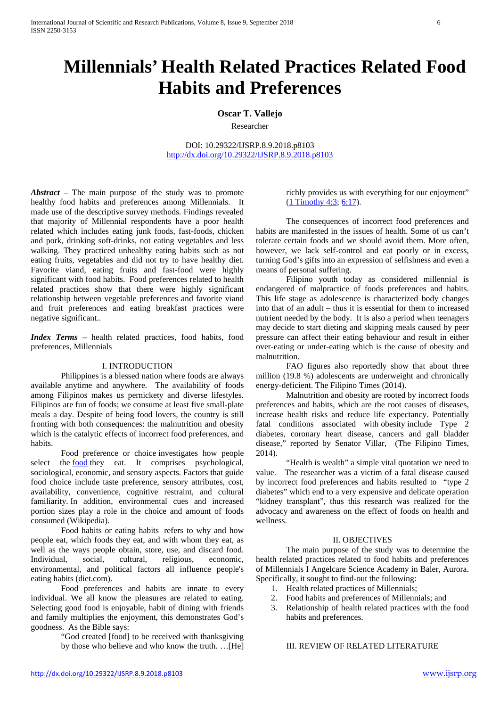# **Millennials' Health Related Practices Related Food Habits and Preferences**

# **Oscar T. Vallejo**

Researcher

DOI: 10.29322/IJSRP.8.9.2018.p8103 <http://dx.doi.org/10.29322/IJSRP.8.9.2018.p8103>

*Abstract* – The main purpose of the study was to promote healthy food habits and preferences among Millennials. It made use of the descriptive survey methods. Findings revealed that majority of Millennial respondents have a poor health related which includes eating junk foods, fast-foods, chicken and pork, drinking soft-drinks, not eating vegetables and less walking. They practiced unhealthy eating habits such as not eating fruits, vegetables and did not try to have healthy diet. Favorite viand, eating fruits and fast-food were highly significant with food habits. Food preferences related to health related practices show that there were highly significant relationship between vegetable preferences and favorite viand and fruit preferences and eating breakfast practices were negative significant..

*Index Terms* – health related practices, food habits, food preferences, Millennials

#### I. INTRODUCTION

Philippines is a blessed nation where foods are always available anytime and anywhere. The availability of foods among Filipinos makes us pernickety and diverse lifestyles. Filipinos are fun of foods; we consume at least five small-plate meals a day. Despite of being food lovers, the country is still fronting with both consequences: the malnutrition and obesity which is the catalytic effects of incorrect food preferences, and habits.

Food preference or choice investigates how people select the **[food](https://en.wikipedia.org/wiki/Food)** they eat. It comprises psychological, sociological, economic, and sensory aspects. Factors that guide food choice include taste preference, sensory attributes, cost, availability, convenience, cognitive restraint, and cultural familiarity. In addition, environmental cues and increased portion sizes play a role in the choice and amount of foods consumed (Wikipedia).

Food habits or eating habits refers to why and how people eat, which foods they eat, and with whom they eat, as well as the ways people obtain, store, use, and discard food. Individual, social, cultural, religious, economic, environmental, and political factors all influence people's eating habits (diet.com).

Food preferences and habits are innate to every individual. We all know the pleasures are related to eating. Selecting good food is enjoyable, habit of dining with friends and family multiplies the enjoyment, this demonstrates God's goodness. As the Bible says:

> "God created [food] to be received with thanksgiving by those who believe and who know the truth. …[He]

richly provides us with everything for our enjoyment" [\(1 Timothy 4:3;](https://ebible.com/query?utf=8%E2%9C%93&query=1%20Timothy%204%3A3&translation=ESV&redirect_iframe=https://www.AllAboutGOD.com/bible.htm) [6:17\)](https://ebible.com/query?utf=8%E2%9C%93&query=1%20Timothy%206%3A17&translation=ESV&redirect_iframe=https://www.AllAboutGOD.com/bible.htm).

The consequences of incorrect food preferences and habits are manifested in the issues of health. Some of us can't tolerate certain foods and we should avoid them. More often, however, we lack self-control and eat poorly or in excess, turning God's gifts into an expression of selfishness and even a means of personal suffering.

Filipino youth today as considered millennial is endangered of malpractice of foods preferences and habits. This life stage as adolescence is characterized body changes into that of an adult – thus it is essential for them to increased nutrient needed by the body. It is also a period when teenagers may decide to start dieting and skipping meals caused by peer pressure can affect their eating behaviour and result in either over-eating or under-eating which is the cause of obesity and malnutrition.

FAO figures also reportedly show that about three million (19.8 %) adolescents are underweight and chronically energy-deficient. The Filipino Times (2014).

Malnutrition and obesity are rooted by incorrect foods preferences and habits, which are the root causes of diseases, increase health risks and reduce life expectancy. Potentially fatal conditions associated with obesity include Type 2 diabetes, coronary heart disease, cancers and gall bladder disease," reported by Senator Villar, (The Filipino Times, 2014).

"Health is wealth" a simple vital quotation we need to value. The researcher was a victim of a fatal disease caused by incorrect food preferences and habits resulted to "type 2 diabetes" which end to a very expensive and delicate operation "kidney transplant", thus this research was realized for the advocacy and awareness on the effect of foods on health and wellness.

## II. OBJECTIVES

The main purpose of the study was to determine the health related practices related to food habits and preferences of Millennials I Angelcare Science Academy in Baler, Aurora. Specifically, it sought to find-out the following:

- 1. Health related practices of Millennials;
- 2. Food habits and preferences of Millennials; and
- 3. Relationship of health related practices with the food habits and preferences.

## III. REVIEW OF RELATED LITERATURE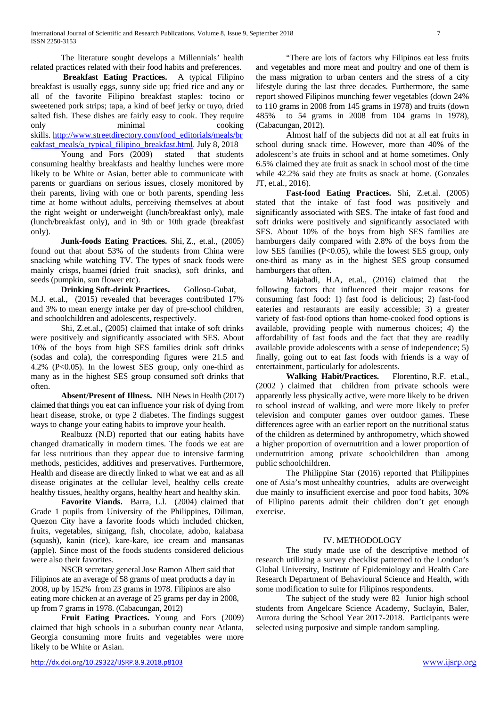The literature sought develops a Millennials' health related practices related with their food habits and preferences.

**Breakfast Eating Practices.** A typical Filipino breakfast is usually eggs, sunny side up; fried rice and any or all of the favorite Filipino breakfast staples: tocino or sweetened pork strips; tapa, a kind of beef jerky or tuyo, dried salted fish. These dishes are fairly easy to cook. They require only minimal cooking skills. [http://www.streetdirectory.com/food\\_editorials/meals/br](http://www.streetdirectory.com/food_editorials/meals/breakfast_meals/a_typical_filipino_breakfast.html) [eakfast\\_meals/a\\_typical\\_filipino\\_breakfast.html.](http://www.streetdirectory.com/food_editorials/meals/breakfast_meals/a_typical_filipino_breakfast.html) July 8, 2018

Young and Fors (2009) stated that students consuming healthy breakfasts and healthy lunches were more likely to be White or Asian, better able to communicate with parents or guardians on serious issues, closely monitored by their parents, living with one or both parents, spending less time at home without adults, perceiving themselves at about the right weight or underweight (lunch/breakfast only), male (lunch/breakfast only), and in 9th or 10th grade (breakfast only).

**Junk-foods Eating Practices.** [Shi,](https://www.nature.com/articles/1602259#auth-1) Z., et.al., (2005) found out that about 53% of the students from China were snacking while watching TV. The types of snack foods were mainly crisps, huamei (dried fruit snacks), soft drinks, and seeds (pumpkin, sun flower etc).

**Drinking Soft-drink Practices.** Golloso-Gubat, M.J. et.al., (2015) revealed that beverages contributed 17% and 3% to mean energy intake per day of pre-school children, and schoolchildren and adolescents, respectively.

Shi, Z.et.al., (2005) claimed that intake of soft drinks were positively and significantly associated with SES. About 10% of the boys from high SES families drink soft drinks (sodas and cola), the corresponding figures were 21.5 and 4.2% ( $P<0.05$ ). In the lowest SES group, only one-third as many as in the highest SES group consumed soft drinks that often.

**Absent/Present of Illness.** NIH News in Health (2017) claimed that things you eat can influence your risk of dying from heart disease, stroke, or type 2 diabetes. The findings suggest ways to change your eating habits to improve your health.

Realbuzz (N.D) reported that our eating habits have changed dramatically in modern times. The foods we eat are far less nutritious than they appear due to intensive farming methods, pesticides, additives and preservatives. Furthermore, Health and disease are directly linked to what we eat and as all disease originates at the cellular level, healthy cells create healthy tissues, healthy organs, healthy heart and healthy skin.

**Favorite Viands.** Barra, L.l. (2004) claimed that Grade 1 pupils from University of the Philippines, Diliman, Quezon City have a favorite foods which included chicken, fruits, vegetables, sinigang, fish, chocolate, adobo, kalabasa (squash), kanin (rice), kare-kare, ice cream and mansanas (apple). Since most of the foods students considered delicious were also their favorites.

NSCB secretary general Jose Ramon Albert said that Filipinos ate an average of 58 grams of meat products a day in 2008, up by 152% from 23 grams in 1978. Filipinos are also eating more chicken at an average of 25 grams per day in 2008, up from 7 grams in 1978. (Cabacungan, 2012)

**Fruit Eating Practices.** Young and Fors (2009) claimed that high schools in a suburban county near Atlanta, Georgia consuming more fruits and vegetables were more likely to be White or Asian.

"There are lots of factors why Filipinos eat less fruits and vegetables and more meat and poultry and one of them is the mass migration to urban centers and the stress of a city lifestyle during the last three decades. Furthermore, the same report showed Filipinos munching fewer vegetables (down 24% to 110 grams in 2008 from 145 grams in 1978) and fruits (down 485% to 54 grams in 2008 from 104 grams in 1978), (Cabacungan, 2012).

Almost half of the subjects did not at all eat fruits in school during snack time. However, more than 40% of the adolescent's ate fruits in school and at home sometimes. Only 6.5% claimed they ate fruit as snack in school most of the time while 42.2% said they ate fruits as snack at home. (Gonzales JT, et.al., 2016).

**Fast-food Eating Practices.** Shi, Z.et.al. (2005) stated that the intake of fast food was positively and significantly associated with SES. The intake of fast food and soft drinks were positively and significantly associated with SES. About 10% of the boys from high SES families ate hamburgers daily compared with 2.8% of the boys from the low SES families (P<0.05), while the lowest SES group, only one-third as many as in the highest SES group consumed hamburgers that often.

Majabadi, H.A, et.al., (2016) claimed that the following factors that influenced their major reasons for consuming fast food: 1) fast food is delicious; 2) fast-food eateries and restaurants are easily accessible; 3) a greater variety of fast-food options than home-cooked food options is available, providing people with numerous choices; 4) the affordability of fast foods and the fact that they are readily available provide adolescents with a sense of independence; 5) finally, going out to eat fast foods with friends is a way of entertainment, particularly for adolescents.

**Walking Habit/Practices.** [Florentino,](http://journals.sagepub.com/author/Florentino%2C+Rodolfo+F) R.F. et.al., (2002 ) claimed that children from private schools were apparently less physically active, were more likely to be driven to school instead of walking, and were more likely to prefer television and computer games over outdoor games. These differences agree with an earlier report on the nutritional status of the children as determined by anthropometry, which showed a higher proportion of overnutrition and a lower proportion of undernutrition among private schoolchildren than among public schoolchildren.

The Philippine Star (2016) reported that Philippines one of Asia's most unhealthy countries, adults are overweight due mainly to insufficient exercise and poor food habits, 30% of Filipino parents admit their children don't get enough exercise.

#### IV. METHODOLOGY

The study made use of the descriptive method of research utilizing a survey checklist patterned to the London's Global University, Institute of Epidemiology and Health Care Research Department of Behavioural Science and Health, with some modification to suite for Filipinos respondents.

The subject of the study were 82 Junior high school students from Angelcare Science Academy, Suclayin, Baler, Aurora during the School Year 2017-2018. Participants were selected using purposive and simple random sampling.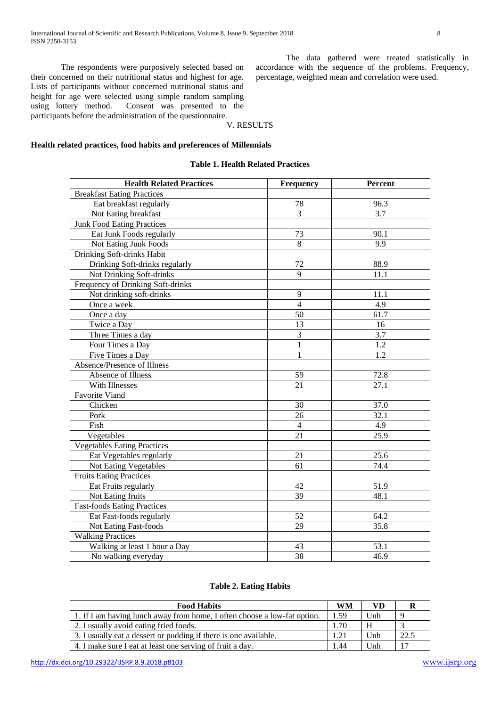The respondents were purposively selected based on their concerned on their nutritional status and highest for age. Lists of participants without concerned nutritional status and height for age were selected using simple random sampling using lottery method. Consent was presented to the participants before the administration of the questionnaire.

The data gathered were treated statistically in accordance with the sequence of the problems. Frequency, percentage, weighted mean and correlation were used.

# V. RESULTS

## **Health related practices, food habits and preferences of Millennials**

#### **Table 1. Health Related Practices**

| <b>Health Related Practices</b>    | <b>Frequency</b> | <b>Percent</b> |
|------------------------------------|------------------|----------------|
| <b>Breakfast Eating Practices</b>  |                  |                |
| Eat breakfast regularly            | 78               | 96.3           |
| Not Eating breakfast               | 3                | 3.7            |
| <b>Junk Food Eating Practices</b>  |                  |                |
| Eat Junk Foods regularly           | 73               | 90.1           |
| Not Eating Junk Foods              | 8                | 9.9            |
| Drinking Soft-drinks Habit         |                  |                |
| Drinking Soft-drinks regularly     | 72               | 88.9           |
| Not Drinking Soft-drinks           | 9                | 11.1           |
| Frequency of Drinking Soft-drinks  |                  |                |
| Not drinking soft-drinks           | 9                | 11.1           |
| Once a week                        | $\overline{4}$   | 4.9            |
| Once a day                         | 50               | 61.7           |
| Twice a Day                        | 13               | 16             |
| Three Times a day                  | 3                | 3.7            |
| Four Times a Day                   | 1                | 1.2            |
| Five Times a Day                   | $\mathbf{1}$     | 1.2            |
| Absence/Presence of Illness        |                  |                |
| Absence of Illness                 | 59               | 72.8           |
| With Illnesses                     | 21               | 27.1           |
| <b>Favorite Viand</b>              |                  |                |
| Chicken                            | 30               | 37.0           |
| Pork                               | 26               | 32.1           |
| Fish                               | $\overline{4}$   | 4.9            |
| Vegetables                         | 21               | 25.9           |
| <b>Vegetables Eating Practices</b> |                  |                |
| Eat Vegetables regularly           | 21               | 25.6           |
| <b>Not Eating Vegetables</b>       | 61               | 74.4           |
| <b>Fruits Eating Practices</b>     |                  |                |
| Eat Fruits regularly               | 42               | 51.9           |
| Not Eating fruits                  | 39               | 48.1           |
| <b>Fast-foods Eating Practices</b> |                  |                |
| Eat Fast-foods regularly           | 52               | 64.2           |
| <b>Not Eating Fast-foods</b>       | 29               | 35.8           |
| <b>Walking Practices</b>           |                  |                |
| Walking at least 1 hour a Day      | 43               | 53.1           |
| No walking everyday                | 38               | 46.9           |

## **Table 2. Eating Habits**

| <b>Food Habits</b>                                                       |      | VD  |      |
|--------------------------------------------------------------------------|------|-----|------|
| 1. If I am having lunch away from home, I often choose a low-fat option. | 1.59 | Unh |      |
| 2. I usually avoid eating fried foods.                                   | 1.70 | H   |      |
| 3. I usually eat a dessert or pudding if there is one available.         | 1.21 | Unh | 22.5 |
| 4. I make sure I eat at least one serving of fruit a day.                | 1.44 | Unh | 17   |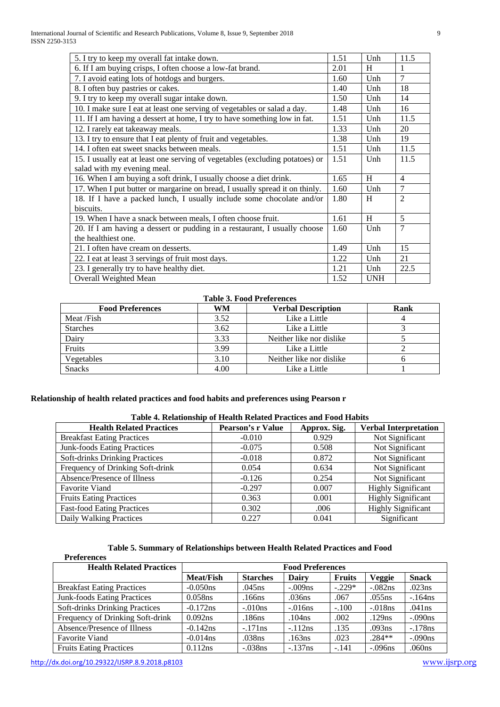| 5. I try to keep my overall fat intake down.                                 | 1.51 | Unh        | 11.5           |
|------------------------------------------------------------------------------|------|------------|----------------|
| 6. If I am buying crisps, I often choose a low-fat brand.                    | 2.01 | H          |                |
| 7. I avoid eating lots of hotdogs and burgers.                               | 1.60 | Unh        | $\overline{7}$ |
| 8. I often buy pastries or cakes.                                            | 1.40 | Unh        | 18             |
| 9. I try to keep my overall sugar intake down.                               | 1.50 | Unh        | 14             |
| 10. I make sure I eat at least one serving of vegetables or salad a day.     | 1.48 | Unh        | 16             |
| 11. If I am having a dessert at home, I try to have something low in fat.    | 1.51 | Unh        | 11.5           |
| 12. I rarely eat takeaway meals.                                             | 1.33 | Unh        | 20             |
| 13. I try to ensure that I eat plenty of fruit and vegetables.               | 1.38 | Unh        | 19             |
| 14. I often eat sweet snacks between meals.                                  | 1.51 | Unh        | 11.5           |
| 15. I usually eat at least one serving of vegetables (excluding potatoes) or | 1.51 | Unh        | 11.5           |
| salad with my evening meal.                                                  |      |            |                |
| 16. When I am buying a soft drink, I usually choose a diet drink.            | 1.65 | H          | $\overline{4}$ |
| 17. When I put butter or margarine on bread, I usually spread it on thinly.  | 1.60 | Unh        | $\overline{7}$ |
| 18. If I have a packed lunch, I usually include some chocolate and/or        | 1.80 | H          | $\mathfrak{D}$ |
| biscuits.                                                                    |      |            |                |
| 19. When I have a snack between meals, I often choose fruit.                 | 1.61 | H          | 5              |
| 20. If I am having a dessert or pudding in a restaurant, I usually choose    | 1.60 | Unh        | 7              |
| the healthiest one.                                                          |      |            |                |
| 21. I often have cream on desserts.                                          | 1.49 | Unh        | 15             |
| 22. I eat at least 3 servings of fruit most days.                            | 1.22 | Unh        | 21             |
| 23. I generally try to have healthy diet.                                    | 1.21 | Unh        | 22.5           |
| Overall Weighted Mean                                                        | 1.52 | <b>UNH</b> |                |

# **Table 3. Food Preferences**

| <b>Food Preferences</b> | WM   | <b>Verbal Description</b> | Rank |
|-------------------------|------|---------------------------|------|
| Meat /Fish              | 3.52 | Like a Little             |      |
| <b>Starches</b>         | 3.62 | Like a Little             |      |
| Dairy                   | 3.33 | Neither like nor dislike  |      |
| Fruits                  | 3.99 | Like a Little             |      |
| Vegetables              | 3.10 | Neither like nor dislike  |      |
| <b>Snacks</b>           | 4.00 | Like a Little             |      |

# **Relationship of health related practices and food habits and preferences using Pearson r**

# **Table 4. Relationship of Health Related Practices and Food Habits**

| <b>Health Related Practices</b>    | <b>Pearson's r Value</b> | Approx. Sig. | <b>Verbal Interpretation</b> |
|------------------------------------|--------------------------|--------------|------------------------------|
| <b>Breakfast Eating Practices</b>  | $-0.010$                 | 0.929        | Not Significant              |
| <b>Junk-foods Eating Practices</b> | $-0.075$                 | 0.508        | Not Significant              |
| Soft-drinks Drinking Practices     | $-0.018$                 | 0.872        | Not Significant              |
| Frequency of Drinking Soft-drink   | 0.054                    | 0.634        | Not Significant              |
| Absence/Presence of Illness        | $-0.126$                 | 0.254        | Not Significant              |
| <b>Favorite Viand</b>              | $-0.297$                 | 0.007        | <b>Highly Significant</b>    |
| <b>Fruits Eating Practices</b>     | 0.363                    | 0.001        | <b>Highly Significant</b>    |
| <b>Fast-food Eating Practices</b>  | 0.302                    | .006         | <b>Highly Significant</b>    |
| Daily Walking Practices            | 0.227                    | 0.041        | Significant                  |

| Table 5. Summary of Relationships between Health Related Practices and Food |
|-----------------------------------------------------------------------------|
|-----------------------------------------------------------------------------|

| <b>Health Related Practices</b>    | <b>Food Preferences</b> |                 |           |               |           |              |
|------------------------------------|-------------------------|-----------------|-----------|---------------|-----------|--------------|
|                                    | <b>Meat/Fish</b>        | <b>Starches</b> | Dairy     | <b>Fruits</b> | Veggie    | <b>Snack</b> |
| <b>Breakfast Eating Practices</b>  | $-0.050$ ns             | .045ns          | $-.009ns$ | $-.229*$      | $-.082ns$ | .023ns       |
| <b>Junk-foods Eating Practices</b> | $0.058$ ns              | .166ns          | .036ns    | .067          | .055ns    | $-.164ns$    |
| Soft-drinks Drinking Practices     | $-0.172$ ns             | $-.010ns$       | $-.016ns$ | $-.100$       | $-.018ns$ | .041ns       |
| Frequency of Drinking Soft-drink   | 0.092ns                 | .186ns          | .104ns    | .002          | .129ns    | $-.090ns$    |
| Absence/Presence of Illness        | $-0.142$ ns             | $-.171ns$       | $-.112ns$ | .135          | .093ns    | $-.178ns$    |
| <b>Favorite Viand</b>              | $-0.014$ ns             | .038ns          | .163ns    | .023          | $.284**$  | $-.090ns$    |
| <b>Fruits Eating Practices</b>     | 0.112ns                 | $-.038ns$       | $-.137ns$ | $-.141$       | $-.096ns$ | .060ns       |

 **Preferences**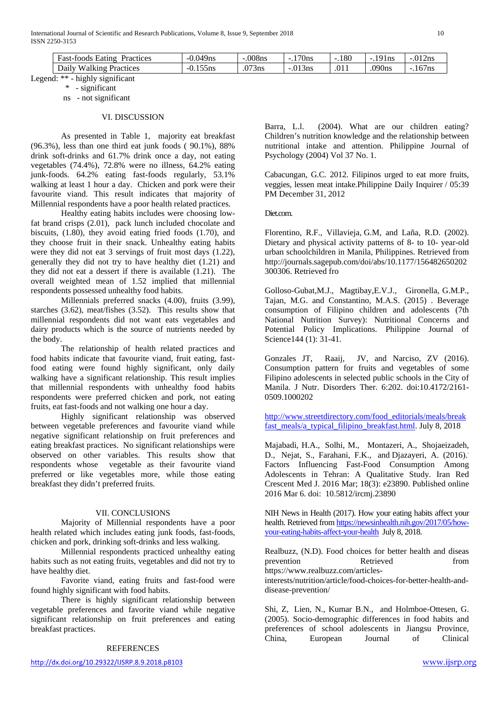| Practices<br>iatin o<br>Hast-L<br>oods    | $\sim$ $\sim$<br>'9ns<br>-- | 008ns        | 170ns<br>$\overline{\phantom{a}}$ | .180<br>$\sim$ | $\Omega$<br>1 <sub>ns</sub> | 012<br>. Zns<br>$-.U.$ |
|-------------------------------------------|-----------------------------|--------------|-----------------------------------|----------------|-----------------------------|------------------------|
| Daily<br><b>Practices</b><br>71 n G<br>-- | - -<br>ons                  | .073<br>'3ns | 013<br>13ns                       | .011           | 090ns                       | $\sqrt{2}$<br>16/ns    |

Legend: \*\* - highly significant

ns - not significant

#### VI. DISCUSSION

As presented in Table 1, majority eat breakfast (96.3%), less than one third eat junk foods ( 90.1%), 88% drink soft-drinks and 61.7% drink once a day, not eating vegetables (74.4%), 72.8% were no illness, 64.2% eating junk-foods. 64.2% eating fast-foods regularly, 53.1% walking at least 1 hour a day. Chicken and pork were their favourite viand. This result indicates that majority of Millennial respondents have a poor health related practices.

Healthy eating habits includes were choosing lowfat brand crisps (2.01), pack lunch included chocolate and biscuits, (1.80), they avoid eating fried foods (1.70), and they choose fruit in their snack. Unhealthy eating habits were they did not eat 3 servings of fruit most days (1.22), generally they did not try to have healthy diet (1.21) and they did not eat a dessert if there is available (1.21). The overall weighted mean of 1.52 implied that millennial respondents possessed unhealthy food habits.

Millennials preferred snacks (4.00), fruits (3.99), starches (3.62), meat/fishes (3.52). This results show that millennial respondents did not want eats vegetables and dairy products which is the source of nutrients needed by the body.

The relationship of health related practices and food habits indicate that favourite viand, fruit eating, fastfood eating were found highly significant, only daily walking have a significant relationship. This result implies that millennial respondents with unhealthy food habits respondents were preferred chicken and pork, not eating fruits, eat fast-foods and not walking one hour a day.

Highly significant relationship was observed between vegetable preferences and favourite viand while negative significant relationship on fruit preferences and eating breakfast practices. No significant relationships were observed on other variables. This results show that respondents whose vegetable as their favourite viand preferred or like vegetables more, while those eating breakfast they didn't preferred fruits.

## VII. CONCLUSIONS

Majority of Millennial respondents have a poor health related which includes eating junk foods, fast-foods, chicken and pork, drinking soft-drinks and less walking.

Millennial respondents practiced unhealthy eating habits such as not eating fruits, vegetables and did not try to have healthy diet.

Favorite viand, eating fruits and fast-food were found highly significant with food habits.

There is highly significant relationship between vegetable preferences and favorite viand while negative significant relationship on fruit preferences and eating breakfast practices.

#### REFERENCES

Barra, L.l. (2004). What are our children eating? Children's nutrition knowledge and the relationship between nutritional intake and attention. Philippine Journal of Psychology (2004) Vol 37 No. 1.

Cabacungan, G.C. 2012. Filipinos urged to eat more fruits, veggies, lessen meat intak[e.Philippine](http://newsinfo.inquirer.net/source/philippine-daily-inquirer) Daily Inquirer / 05:39 PM December 31, 2012

Diet.com.

Florentino, R.F., [Villavieja,](http://journals.sagepub.com/author/Villavieja%2C+Gracia+M) G.M, and [Laña,](http://journals.sagepub.com/author/La%C3%B1a%2C+Ruby+D) R.D. (2002). Dietary and physical activity patterns of 8- to 10- year-old urban schoolchildren in Manila, Philippines. Retrieved from http://journals.sagepub.com/doi/abs/10.1177/156482650202 300306. Retrieved fro

Golloso-Gubat,M.J., Magtibay,E.V.J., Gironella, G.M.P., Tajan, M.G. and Constantino, M.A.S. (2015) . Beverage consumption of Filipino children and adolescents (7th National Nutrition Survey): Nutritional Concerns and Potential Policy Implications. Philippine Journal of Science144 (1): 31-41.

Gonzales JT, Raaij, JV, and Narciso, ZV (2016). Consumption pattern for fruits and vegetables of some Filipino adolescents in selected public schools in the City of Manila. J Nutr. Disorders Ther. 6:202. doi:10.4172/2161- 0509.1000202

[http://www.streetdirectory.com/food\\_editorials/meals/break](http://www.streetdirectory.com/food_editorials/meals/breakfast_meals/a_typical_filipino_breakfast.html) [fast\\_meals/a\\_typical\\_filipino\\_breakfast.html.](http://www.streetdirectory.com/food_editorials/meals/breakfast_meals/a_typical_filipino_breakfast.html) July 8, 2018

[Majabadi,](https://www.ncbi.nlm.nih.gov/pubmed/?term=Askari%20Majabadi%20H%5BAuthor%5D&cauthor=true&cauthor_uid=27247793) H.A., [Solhi,](https://www.ncbi.nlm.nih.gov/pubmed/?term=Solhi%20M%5BAuthor%5D&cauthor=true&cauthor_uid=27247793) M., [Montazeri,](https://www.ncbi.nlm.nih.gov/pubmed/?term=Montazeri%20A%5BAuthor%5D&cauthor=true&cauthor_uid=27247793) A., [Shojaeizadeh,](https://www.ncbi.nlm.nih.gov/pubmed/?term=Shojaeizadeh%20D%5BAuthor%5D&cauthor=true&cauthor_uid=27247793) D., [Nejat,](https://www.ncbi.nlm.nih.gov/pubmed/?term=Nejat%20S%5BAuthor%5D&cauthor=true&cauthor_uid=27247793) S., [Farahani,](https://www.ncbi.nlm.nih.gov/pubmed/?term=Khalajabadi%20Farahani%20F%5BAuthor%5D&cauthor=true&cauthor_uid=27247793) F.K., and [Djazayeri,](https://www.ncbi.nlm.nih.gov/pubmed/?term=Djazayeri%20A%5BAuthor%5D&cauthor=true&cauthor_uid=27247793) A. (2016). Factors Influencing Fast-Food Consumption Among Adolescents in Tehran: A Qualitative Study. [Iran Red](https://www.ncbi.nlm.nih.gov/pmc/articles/PMC4884438/)  [Crescent Med J.](https://www.ncbi.nlm.nih.gov/pmc/articles/PMC4884438/) 2016 Mar; 18(3): e23890. Published online 2016 Mar 6. doi: [10.5812/ircmj.23890](https://dx.doi.org/10.5812%2Fircmj.23890)

NIH News in Health (2017). How your eating habits affect your health. Retrieved fro[m https://newsinhealth.nih.gov/2017/05/how](https://newsinhealth.nih.gov/2017/05/how-your-eating-habits-affect-your-health)[your-eating-habits-affect-your-health](https://newsinhealth.nih.gov/2017/05/how-your-eating-habits-affect-your-health) July 8, 2018.

Realbuzz, (N.D). Food choices for better health and diseas prevention Retrieved from https://www.realbuzz.com/articles-

interests/nutrition/article/food-choices-for-better-health-anddisease-prevention/

[Shi,](https://www.nature.com/articles/1602259#auth-1) Z, [Lien,](https://www.nature.com/articles/1602259#auth-2) N., [Kumar](https://www.nature.com/articles/1602259#auth-3) B.N., and [Holmboe-Ottesen,](https://www.nature.com/articles/1602259#auth-4) G. (2005). Socio-demographic differences in food habits and preferences of school adolescents in Jiangsu Province, China, European Journal of Clinical

 <sup>\* -</sup> significant